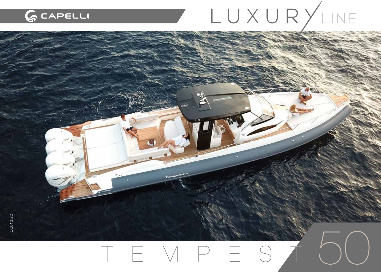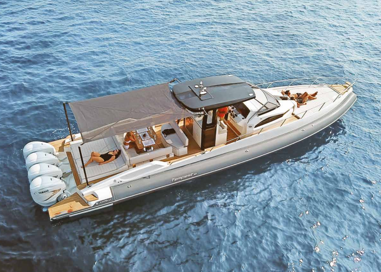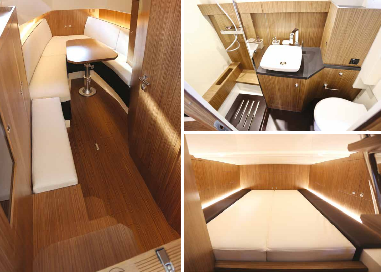